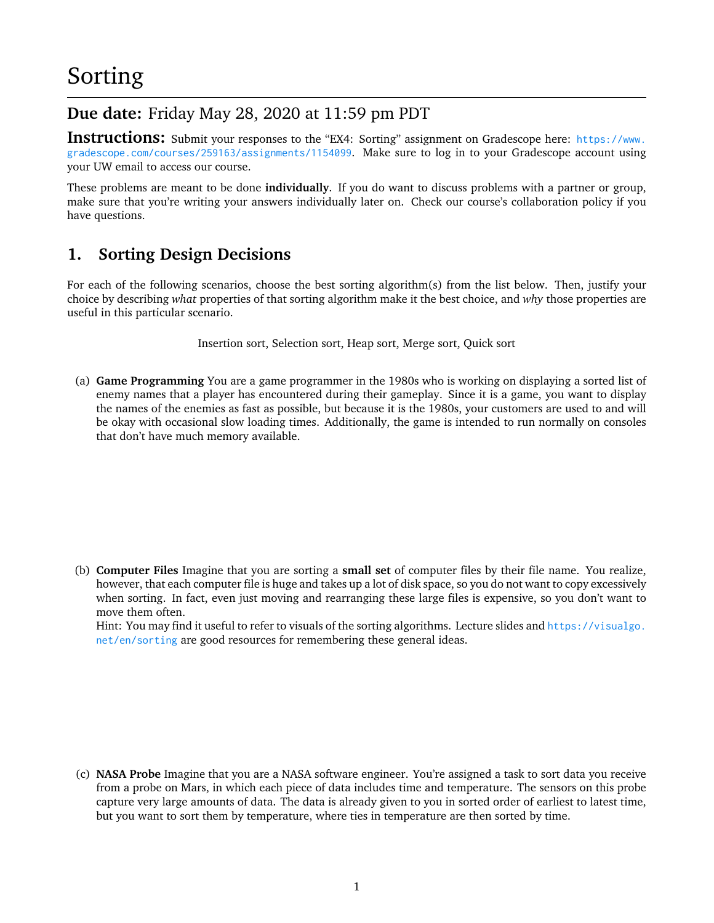# **Due date:** Friday May 28, 2020 at 11:59 pm PDT

**Instructions:** Submit your responses to the "EX4: Sorting" assignment on Gradescope here: [https://www.](https://www.gradescope.com/courses/259163/assignments/1154099) [gradescope.com/courses/259163/assignments/1154099](https://www.gradescope.com/courses/259163/assignments/1154099). Make sure to log in to your Gradescope account using your UW email to access our course.

These problems are meant to be done **individually**. If you do want to discuss problems with a partner or group, make sure that you're writing your answers individually later on. Check our course's collaboration policy if you have questions.

## **1. Sorting Design Decisions**

For each of the following scenarios, choose the best sorting algorithm(s) from the list below. Then, justify your choice by describing *what* properties of that sorting algorithm make it the best choice, and *why* those properties are useful in this particular scenario.

Insertion sort, Selection sort, Heap sort, Merge sort, Quick sort

(a) **Game Programming** You are a game programmer in the 1980s who is working on displaying a sorted list of enemy names that a player has encountered during their gameplay. Since it is a game, you want to display the names of the enemies as fast as possible, but because it is the 1980s, your customers are used to and will be okay with occasional slow loading times. Additionally, the game is intended to run normally on consoles that don't have much memory available.

(b) **Computer Files** Imagine that you are sorting a **small set** of computer files by their file name. You realize, however, that each computer file is huge and takes up a lot of disk space, so you do not want to copy excessively when sorting. In fact, even just moving and rearranging these large files is expensive, so you don't want to move them often.

Hint: You may find it useful to refer to visuals of the sorting algorithms. Lecture slides and [https://visualgo.](https://visualgo.net/en/sorting) [net/en/sorting](https://visualgo.net/en/sorting) are good resources for remembering these general ideas.

(c) **NASA Probe** Imagine that you are a NASA software engineer. You're assigned a task to sort data you receive from a probe on Mars, in which each piece of data includes time and temperature. The sensors on this probe capture very large amounts of data. The data is already given to you in sorted order of earliest to latest time, but you want to sort them by temperature, where ties in temperature are then sorted by time.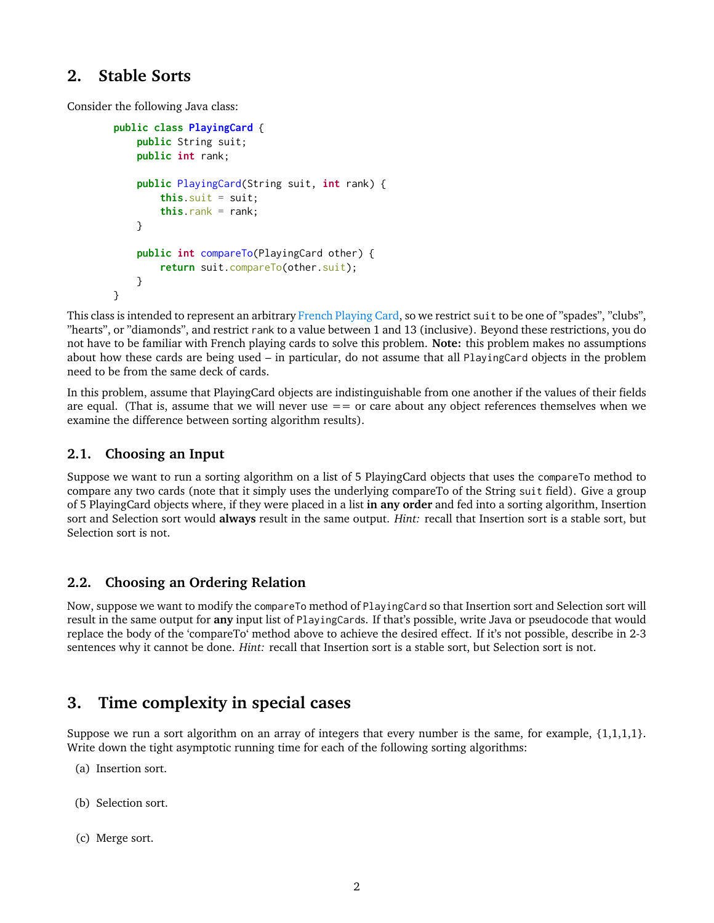### **2. Stable Sorts**

Consider the following Java class:

```
public class PlayingCard {
    public String suit;
    public int rank;
    public PlayingCard(String suit, int rank) {
        this.suit = suit;
        this.rank = rank;
    }
    public int compareTo(PlayingCard other) {
        return suit.compareTo(other.suit);
    }
}
```
This class is intended to represent an arbitrary [French Playing Card,](https://en.wikipedia.org/wiki/Standard_52-card_deck) so we restrict suit to be one of "spades", "clubs", "hearts", or "diamonds", and restrict rank to a value between 1 and 13 (inclusive). Beyond these restrictions, you do not have to be familiar with French playing cards to solve this problem. **Note:** this problem makes no assumptions about how these cards are being used – in particular, do not assume that all PlayingCard objects in the problem need to be from the same deck of cards.

In this problem, assume that PlayingCard objects are indistinguishable from one another if the values of their fields are equal. (That is, assume that we will never use  $=$   $=$  or care about any object references themselves when we examine the difference between sorting algorithm results).

#### **2.1. Choosing an Input**

Suppose we want to run a sorting algorithm on a list of 5 PlayingCard objects that uses the compareTo method to compare any two cards (note that it simply uses the underlying compareTo of the String suit field). Give a group of 5 PlayingCard objects where, if they were placed in a list **in any order** and fed into a sorting algorithm, Insertion sort and Selection sort would **always** result in the same output. *Hint:* recall that Insertion sort is a stable sort, but Selection sort is not.

#### **2.2. Choosing an Ordering Relation**

Now, suppose we want to modify the compareTo method of PlayingCard so that Insertion sort and Selection sort will result in the same output for **any** input list of PlayingCards. If that's possible, write Java or pseudocode that would replace the body of the 'compareTo' method above to achieve the desired effect. If it's not possible, describe in 2-3 sentences why it cannot be done. *Hint:* recall that Insertion sort is a stable sort, but Selection sort is not.

### **3. Time complexity in special cases**

Suppose we run a sort algorithm on an array of integers that every number is the same, for example, {1,1,1,1}. Write down the tight asymptotic running time for each of the following sorting algorithms:

- (a) Insertion sort.
- (b) Selection sort.
- (c) Merge sort.